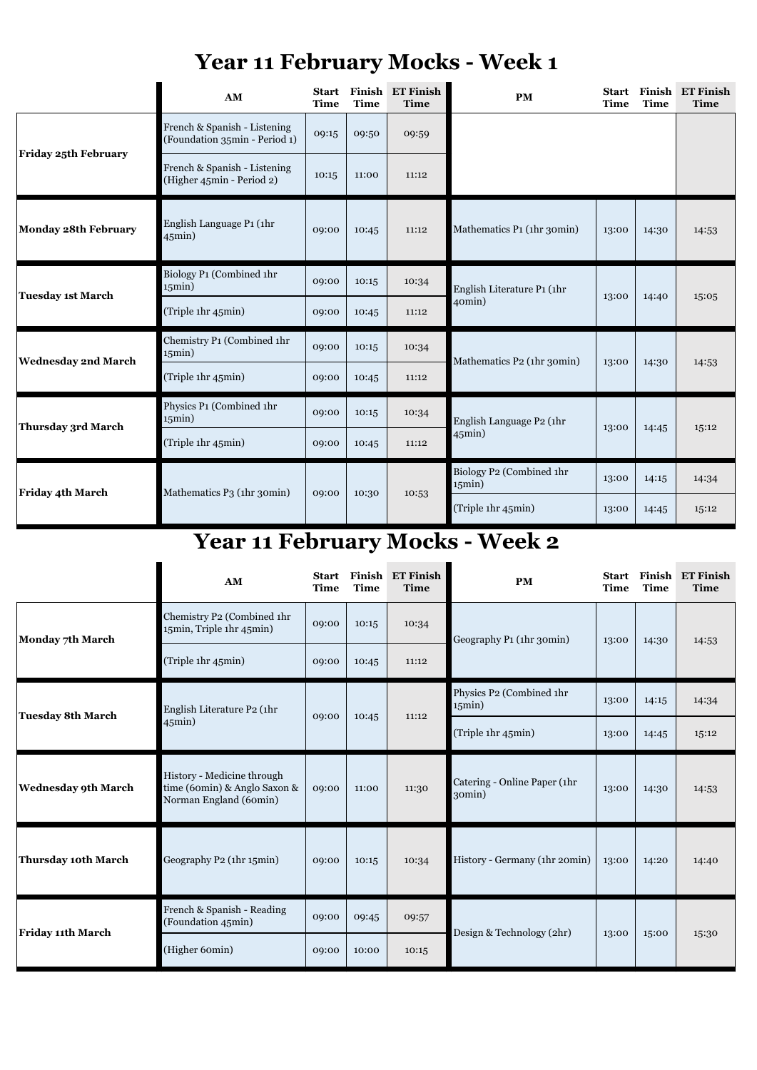|                            | AM                                                                                   | <b>Start</b><br><b>Time</b> | <b>Time</b> | Finish ET Finish<br><b>Time</b> | <b>PM</b>                              | <b>Start</b><br><b>Time</b> | <b>Time</b> | Finish ET Finish<br><b>Time</b> |
|----------------------------|--------------------------------------------------------------------------------------|-----------------------------|-------------|---------------------------------|----------------------------------------|-----------------------------|-------------|---------------------------------|
| <b>Monday 7th March</b>    | Chemistry P2 (Combined 1hr<br>15min, Triple 1hr 45min)                               | 09:00                       | 10:15       | 10:34                           | Geography P1 (1hr 30min)               | 13:00                       | 14:30       | 14:53                           |
|                            | (Triple 1hr 45min)                                                                   | 09:00                       | 10:45       | 11:12                           |                                        |                             |             |                                 |
| <b>Tuesday 8th March</b>   | English Literature P2 (1hr<br>$45$ min $)$                                           | 09:00                       | 10:45       | 11:12                           | Physics P2 (Combined 1hr<br>15min)     | 13:00                       | 14:15       | 14:34                           |
|                            |                                                                                      |                             |             |                                 | (Triple 1hr 45min)                     | 13:00                       | 14:45       | 15:12                           |
| <b>Wednesday 9th March</b> | History - Medicine through<br>time (60min) & Anglo Saxon &<br>Norman England (60min) | 09:00                       | 11:00       | 11:30                           | Catering - Online Paper (1hr<br>30min) | 13:00                       | 14:30       | 14:53                           |
| <b>Thursday 10th March</b> | Geography P2 (1hr 15min)                                                             | 09:00                       | 10:15       | 10:34                           | History - Germany (1hr 20min)          | 13:00                       | 14:20       | 14:40                           |
| <b>Friday 11th March</b>   | French & Spanish - Reading<br>(Foundation 45min)                                     | 09:00                       | 09:45       | 09:57                           | Design & Technology (2hr)              | 13:00                       | 15:00       | 15:30                           |
|                            | (Higher 60min)                                                                       | 09:00                       | 10:00       | 10:15                           |                                        |                             |             |                                 |

|                             | AM                                                            | <b>Start</b><br><b>Time</b> | <b>Time</b> | Finish ET Finish<br><b>Time</b> | <b>PM</b>                                | <b>Start</b><br><b>Time</b> | <b>Time</b> | <b>Finish ET Finish</b><br><b>Time</b> |
|-----------------------------|---------------------------------------------------------------|-----------------------------|-------------|---------------------------------|------------------------------------------|-----------------------------|-------------|----------------------------------------|
| <b>Friday 25th February</b> | French & Spanish - Listening<br>(Foundation 35min - Period 1) | 09:15                       | 09:50       | 09:59                           |                                          |                             |             |                                        |
|                             | French & Spanish - Listening<br>(Higher 45min - Period 2)     | 10:15                       | 11:00       | 11:12                           |                                          |                             |             |                                        |
| <b>Monday 28th February</b> | English Language P1 (1hr<br>$45$ min $)$                      | 09:00                       | 10:45       | 11:12                           | Mathematics P1 (1hr 30min)               | 13:00                       | 14:30       | 14:53                                  |
| Tuesday 1st March           | Biology P1 (Combined 1hr<br>15min)                            | 09:00                       | 10:15       | 10:34                           | English Literature P1 (1hr<br>40min)     | 13:00                       | 14:40       | 15:05                                  |
|                             | (Triple 1hr 45min)                                            | 09:00                       | 10:45       | 11:12                           |                                          |                             |             |                                        |
| <b>Wednesday 2nd March</b>  | Chemistry P1 (Combined 1hr<br>15min)                          | 09:00                       | 10:15       | 10:34                           | Mathematics P2 (1hr 30min)               | 13:00                       | 14:30       | 14:53                                  |
|                             | (Triple 1hr 45min)                                            | 09:00                       | 10:45       | 11:12                           |                                          |                             |             |                                        |
| Thursday 3rd March          | Physics P1 (Combined 1hr<br>15min)                            | 09:00                       | 10:15       | 10:34                           | English Language P2 (1hr<br>$45$ min $)$ | 13:00                       | 14:45       | 15:12                                  |
|                             | (Triple 1hr 45min)                                            | 09:00                       | 10:45       | 11:12                           |                                          |                             |             |                                        |
| <b>Friday 4th March</b>     | Mathematics P3 (1hr 30min)                                    | 09:00                       | 10:30       | 10:53                           | Biology P2 (Combined 1hr<br>15min)       | 13:00                       | 14:15       | 14:34                                  |
|                             |                                                               |                             |             |                                 | (Triple 1hr 45min)                       | 13:00                       | 14:45       | 15:12                                  |

## **Year 11 February Mocks - Week 2**

## **Year 11 February Mocks - Week 1**